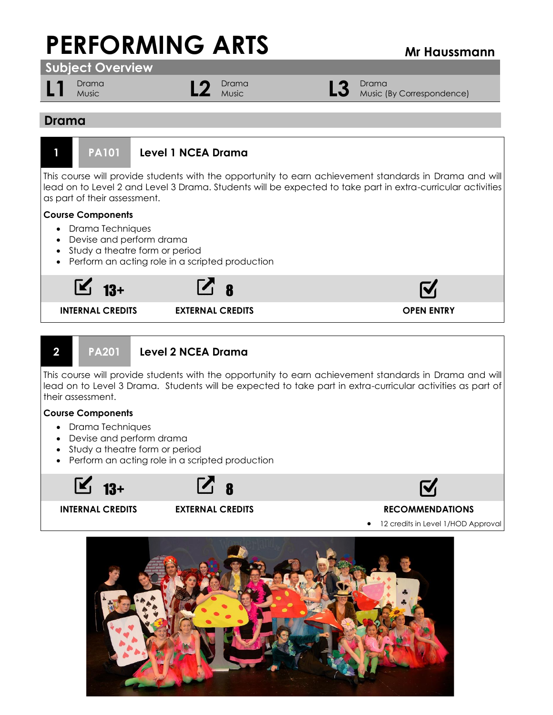# **PERFORMING ARTS Mr Haussmann**



**INTERNAL CREDITS EXTERNAL CREDITS OPEN ENTRY**

### **2 PA201 Level 2 NCEA Drama**

This course will provide students with the opportunity to earn achievement standards in Drama and will lead on to Level 3 Drama. Students will be expected to take part in extra-curricular activities as part of their assessment.

### **Course Components**

- Drama Techniques
- Devise and perform drama
- Study a theatre form or period
- Perform an acting role in a scripted production

 $13+$  8



## **N**

### **INTERNAL CREDITS EXTERNAL CREDITS RECOMMENDATIONS**

12 credits in Level 1/HOD Approval

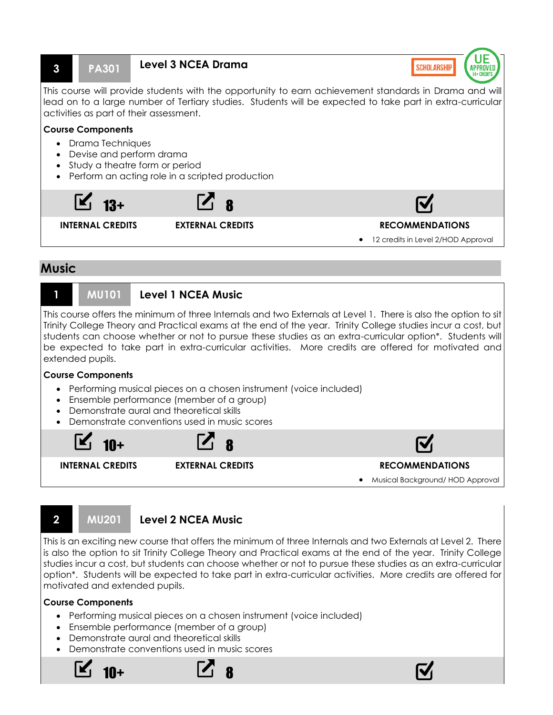

• Musical Background/ HOD Approval

### **2 MU201 Level 2 NCEA Music**

This is an exciting new course that offers the minimum of three Internals and two Externals at Level 2. There is also the option to sit Trinity College Theory and Practical exams at the end of the year. Trinity College studies incur a cost, but students can choose whether or not to pursue these studies as an extra-curricular option\*. Students will be expected to take part in extra-curricular activities. More credits are offered for motivated and extended pupils.

### **Course Components**

- Performing musical pieces on a chosen instrument (voice included)
- Ensemble performance (member of a group)
- Demonstrate aural and theoretical skills
- Demonstrate conventions used in music scores